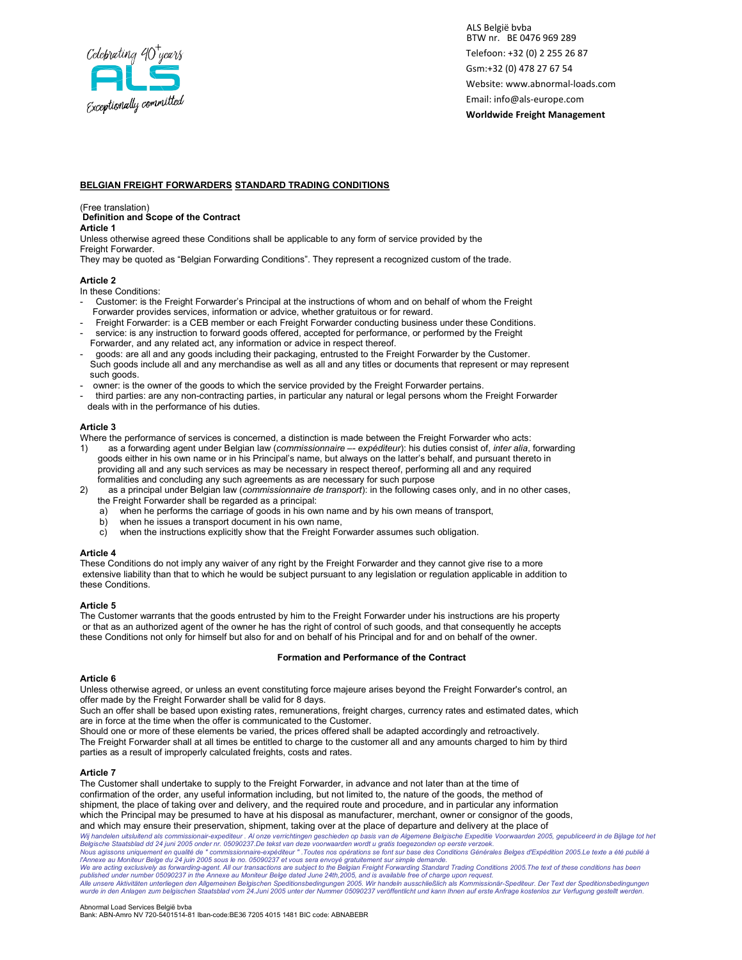

# BELGIAN FREIGHT FORWARDERS STANDARD TRADING CONDITIONS

(Free translation)

# Definition and Scope of the Contract

Article 1

Unless otherwise agreed these Conditions shall be applicable to any form of service provided by the Freight Forwarder.

They may be quoted as "Belgian Forwarding Conditions". They represent a recognized custom of the trade.

## Article 2

In these Conditions:

- Customer: is the Freight Forwarder's Principal at the instructions of whom and on behalf of whom the Freight Forwarder provides services, information or advice, whether gratuitous or for reward.
- Freight Forwarder: is a CEB member or each Freight Forwarder conducting business under these Conditions.
- service: is any instruction to forward goods offered, accepted for performance, or performed by the Freight Forwarder, and any related act, any information or advice in respect thereof.
- goods: are all and any goods including their packaging, entrusted to the Freight Forwarder by the Customer. Such goods include all and any merchandise as well as all and any titles or documents that represent or may represent such goods.
- owner: is the owner of the goods to which the service provided by the Freight Forwarder pertains.
- third parties: are any non-contracting parties, in particular any natural or legal persons whom the Freight Forwarder deals with in the performance of his duties.

## Article 3

Where the performance of services is concerned, a distinction is made between the Freight Forwarder who acts:

- 1) as a forwarding agent under Belgian law (commissionnaire -- expéditeur): his duties consist of, inter alia, forwarding goods either in his own name or in his Principal's name, but always on the latter's behalf, and pursuant thereto in providing all and any such services as may be necessary in respect thereof, performing all and any required formalities and concluding any such agreements as are necessary for such purpose
- 2) as a principal under Belgian law (commissionnaire de transport): in the following cases only, and in no other cases, the Freight Forwarder shall be regarded as a principal:
	- a) when he performs the carriage of goods in his own name and by his own means of transport,
		- when he issues a transport document in his own name,
		- c) when the instructions explicitly show that the Freight Forwarder assumes such obligation.

### Article 4

These Conditions do not imply any waiver of any right by the Freight Forwarder and they cannot give rise to a more extensive liability than that to which he would be subject pursuant to any legislation or regulation applicable in addition to these Conditions.

## Article 5

The Customer warrants that the goods entrusted by him to the Freight Forwarder under his instructions are his property or that as an authorized agent of the owner he has the right of control of such goods, and that consequently he accepts these Conditions not only for himself but also for and on behalf of his Principal and for and on behalf of the owner.

# Formation and Performance of the Contract

# Article 6

Unless otherwise agreed, or unless an event constituting force majeure arises beyond the Freight Forwarder's control, an offer made by the Freight Forwarder shall be valid for 8 days.

Such an offer shall be based upon existing rates, remunerations, freight charges, currency rates and estimated dates, which are in force at the time when the offer is communicated to the Customer.

Should one or more of these elements be varied, the prices offered shall be adapted accordingly and retroactively. The Freight Forwarder shall at all times be entitled to charge to the customer all and any amounts charged to him by third parties as a result of improperly calculated freights, costs and rates.

### Article 7

Wij handelen uitsluitend als commissionair-expediteur . Al onze verrichtingen geschieden op basis van de Algemene Belgische Expeditie Voorwaarden 2005, gepubliceerd in de Bijlage tot het<br>Belgische Staatsblad dd 24 juni 200 published under number 05090237 in the Annexe au Moniteur Belge dated June 24th,2005, and is available free of charge upon request.<br>Alle unsere Aktivitäten unterliegen den Allgemeinen Belgischen Speditionsbedingungen 2005. wurde in den Anlagen zum belgischen Staatsblad vom 24.Juni 2005 unter der Nummer 05090237 veröffentlicht und kann Ihnen auf erste Anfrage kostenlos zur Verfugung gestellt werden. The Customer shall undertake to supply to the Freight Forwarder, in advance and not later than at the time of confirmation of the order, any useful information including, but not limited to, the nature of the goods, the method of shipment, the place of taking over and delivery, and the required route and procedure, and in particular any information which the Principal may be presumed to have at his disposal as manufacturer, merchant, owner or consignor of the goods, and which may ensure their preservation, shipment, taking over at the place of departure and delivery at the place of

### Abnormal Load Services België bvba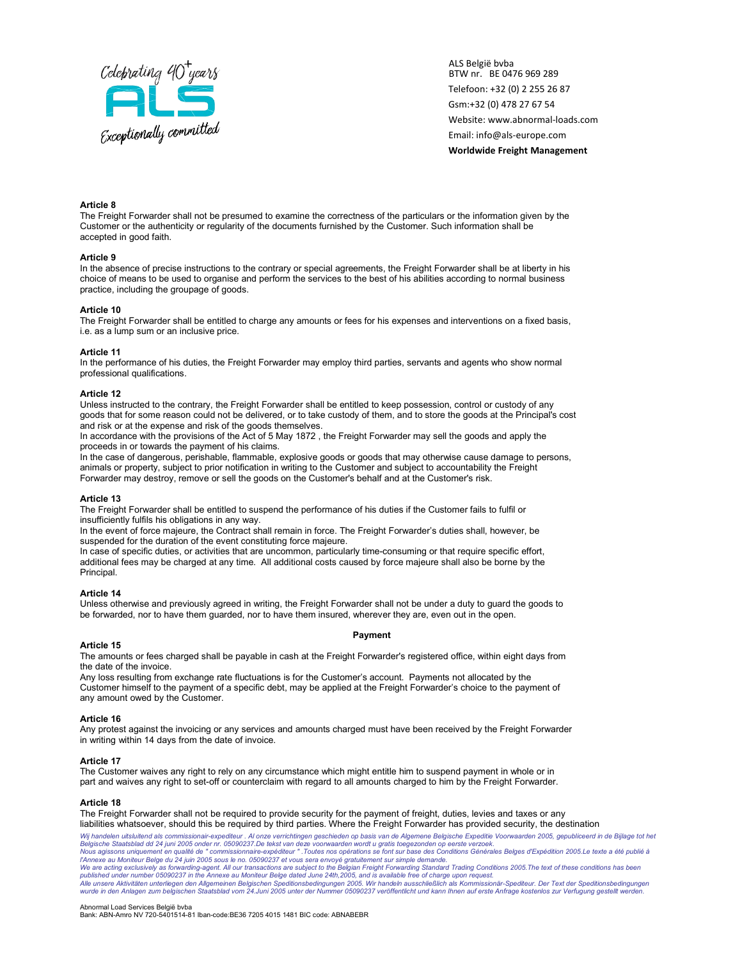

## Article 8

The Freight Forwarder shall not be presumed to examine the correctness of the particulars or the information given by the Customer or the authenticity or regularity of the documents furnished by the Customer. Such information shall be accepted in good faith.

#### Article 9

In the absence of precise instructions to the contrary or special agreements, the Freight Forwarder shall be at liberty in his choice of means to be used to organise and perform the services to the best of his abilities according to normal business practice, including the groupage of goods.

### Article 10

The Freight Forwarder shall be entitled to charge any amounts or fees for his expenses and interventions on a fixed basis, i.e. as a lump sum or an inclusive price.

### Article 11

In the performance of his duties, the Freight Forwarder may employ third parties, servants and agents who show normal professional qualifications.

### Article 12

Unless instructed to the contrary, the Freight Forwarder shall be entitled to keep possession, control or custody of any goods that for some reason could not be delivered, or to take custody of them, and to store the goods at the Principal's cost and risk or at the expense and risk of the goods themselves.

In accordance with the provisions of the Act of 5 May 1872 , the Freight Forwarder may sell the goods and apply the proceeds in or towards the payment of his claims.

In the case of dangerous, perishable, flammable, explosive goods or goods that may otherwise cause damage to persons, animals or property, subject to prior notification in writing to the Customer and subject to accountability the Freight Forwarder may destroy, remove or sell the goods on the Customer's behalf and at the Customer's risk.

#### Article 13

The Freight Forwarder shall be entitled to suspend the performance of his duties if the Customer fails to fulfil or insufficiently fulfils his obligations in any way.

In the event of force majeure, the Contract shall remain in force. The Freight Forwarder's duties shall, however, be suspended for the duration of the event constituting force majeure.

In case of specific duties, or activities that are uncommon, particularly time-consuming or that require specific effort, additional fees may be charged at any time. All additional costs caused by force majeure shall also be borne by the Principal.

### Article 14

Unless otherwise and previously agreed in writing, the Freight Forwarder shall not be under a duty to guard the goods to be forwarded, nor to have them guarded, nor to have them insured, wherever they are, even out in the open.

### Payment

### Article 15

The amounts or fees charged shall be payable in cash at the Freight Forwarder's registered office, within eight days from the date of the invoice.

Any loss resulting from exchange rate fluctuations is for the Customer's account. Payments not allocated by the Customer himself to the payment of a specific debt, may be applied at the Freight Forwarder's choice to the payment of any amount owed by the Customer.

#### Article 16

Any protest against the invoicing or any services and amounts charged must have been received by the Freight Forwarder in writing within 14 days from the date of invoice.

### Article 17

The Customer waives any right to rely on any circumstance which might entitle him to suspend payment in whole or in part and waives any right to set-off or counterclaim with regard to all amounts charged to him by the Freight Forwarder.

### Article 18

The Freight Forwarder shall not be required to provide security for the payment of freight, duties, levies and taxes or any liabilities whatsoever, should this be required by third parties. Where the Freight Forwarder has provided security, the destination

Wij handelen uitsluitend als commissionair-expediteur . Al onze verrichtingen geschieden op basis van de Algemene Belgische Expeditie Voorwaarden 2005, gepubliceerd in de Bijlage tot het<br>Belgische Staatsblad dd 24 juni 200 published under number 05090237 in the Annexe au Moniteur Belge dated June 24th,2005, and is available free of charge upon request.<br>Alle unsere Aktivitäten unterliegen den Allgemeinen Belgischen Speditionsbedingungen 2005. wurde in den Anlagen zum belgischen Staatsblad vom 24.Juni 2005 unter der Nummer 05090237 veröffentlicht und kann Ihnen auf erste Anfrage kostenlos zur Verfugung gestellt werden.

#### Abnormal Load Services België bvba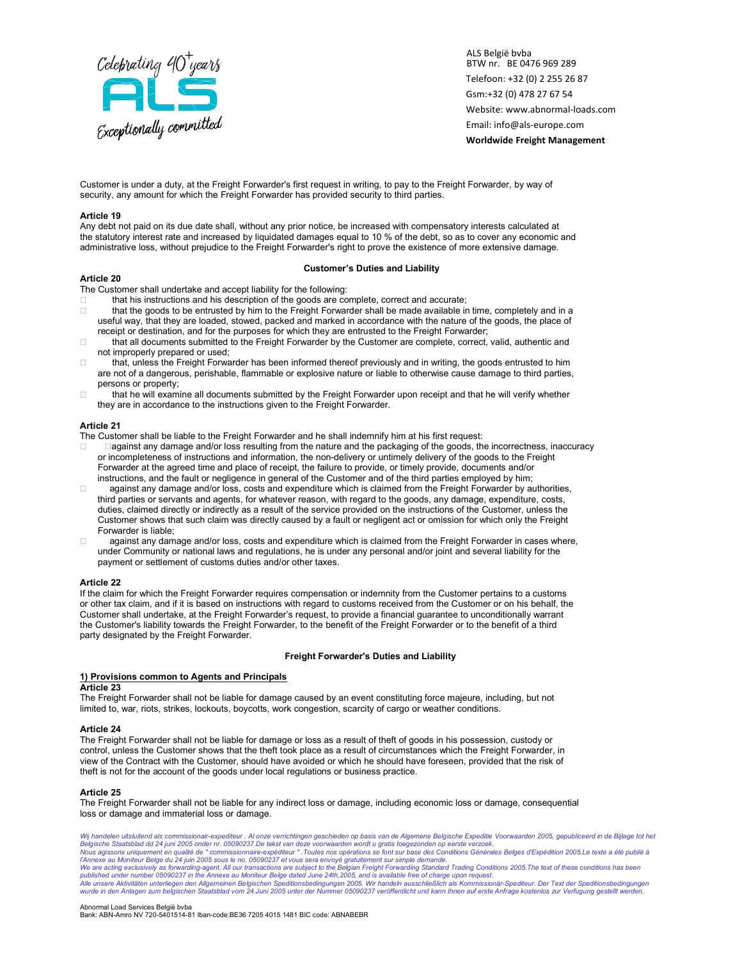

Customer is under a duty, at the Freight Forwarder's first request in writing, to pay to the Freight Forwarder, by way of security, any amount for which the Freight Forwarder has provided security to third parties.

### Article 19

Any debt not paid on its due date shall, without any prior notice, be increased with compensatory interests calculated at the statutory interest rate and increased by liquidated damages equal to 10 % of the debt, so as to cover any economic and administrative loss, without prejudice to the Freight Forwarder's right to prove the existence of more extensive damage.

### Customer's Duties and Liability

Article 20

The Customer shall undertake and accept liability for the following:

- that his instructions and his description of the goods are complete, correct and accurate;
- □ that the goods to be entrusted by him to the Freight Forwarder shall be made available in time, completely and in a useful way, that they are loaded, stowed, packed and marked in accordance with the nature of the goods, the place of receipt or destination, and for the purposes for which they are entrusted to the Freight Forwarder;
- □ that all documents submitted to the Freight Forwarder by the Customer are complete, correct, valid, authentic and not improperly prepared or used;
- □ that, unless the Freight Forwarder has been informed thereof previously and in writing, the goods entrusted to him are not of a dangerous, perishable, flammable or explosive nature or liable to otherwise cause damage to third parties, persons or property;
- $\Box$  that he will examine all documents submitted by the Freight Forwarder upon receipt and that he will verify whether they are in accordance to the instructions given to the Freight Forwarder.

### Article 21

The Customer shall be liable to the Freight Forwarder and he shall indemnify him at his first request:

- against any damage and/or loss resulting from the nature and the packaging of the goods, the incorrectness, inaccuracy or incompleteness of instructions and information, the non-delivery or untimely delivery of the goods to the Freight Forwarder at the agreed time and place of receipt, the failure to provide, or timely provide, documents and/or instructions, and the fault or negligence in general of the Customer and of the third parties employed by him;
- $\Box$  against any damage and/or loss, costs and expenditure which is claimed from the Freight Forwarder by authorities, third parties or servants and agents, for whatever reason, with regard to the goods, any damage, expenditure, costs, duties, claimed directly or indirectly as a result of the service provided on the instructions of the Customer, unless the Customer shows that such claim was directly caused by a fault or negligent act or omission for which only the Freight Forwarder is liable;
- □ against any damage and/or loss, costs and expenditure which is claimed from the Freight Forwarder in cases where, under Community or national laws and regulations, he is under any personal and/or joint and several liability for the payment or settlement of customs duties and/or other taxes.

#### Article 22

If the claim for which the Freight Forwarder requires compensation or indemnity from the Customer pertains to a customs or other tax claim, and if it is based on instructions with regard to customs received from the Customer or on his behalf, the Customer shall undertake, at the Freight Forwarder's request, to provide a financial guarantee to unconditionally warrant the Customer's liability towards the Freight Forwarder, to the benefit of the Freight Forwarder or to the benefit of a third party designated by the Freight Forwarder.

### Freight Forwarder's Duties and Liability

### 1) Provisions common to Agents and Principals

### Article 23

The Freight Forwarder shall not be liable for damage caused by an event constituting force majeure, including, but not limited to, war, riots, strikes, lockouts, boycotts, work congestion, scarcity of cargo or weather conditions.

#### Article 24

The Freight Forwarder shall not be liable for damage or loss as a result of theft of goods in his possession, custody or control, unless the Customer shows that the theft took place as a result of circumstances which the Freight Forwarder, in view of the Contract with the Customer, should have avoided or which he should have foreseen, provided that the risk of theft is not for the account of the goods under local regulations or business practice.

### Article 25

The Freight Forwarder shall not be liable for any indirect loss or damage, including economic loss or damage, consequential loss or damage and immaterial loss or damage.

Wij handelen uitsluitend als commissionair-expediteur . Al onze verrichtingen geschieden op basis van de Algemene Belgische Expeditie Voorwaarden 2005, gepubliceerd in de Bijlage tot het<br>Belgische Staatsblad dd 24 juni 200 published under number 05090237 in the Annexe au Moniteur Belge dated June 24th,2005, and is available free of charge upon request.<br>Alle unsere Aktivitäten unterliegen den Allgemeinen Belgischen Speditionsbedingungen 2005. wurde in den Anlagen zum belgischen Staatsblad vom 24.Juni 2005 unter der Nummer 05090237 veröffentlicht und kann Ihnen auf erste Anfrage kostenlos zur Verfugung gestellt werden.

#### Abnormal Load Services België bvba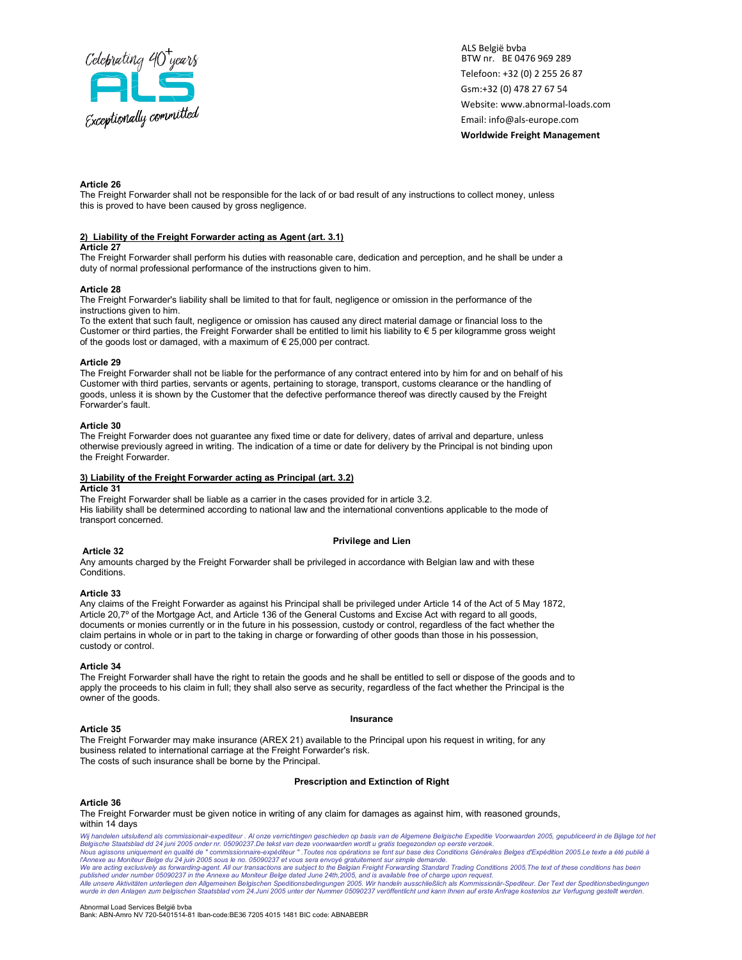

### Article 26

The Freight Forwarder shall not be responsible for the lack of or bad result of any instructions to collect money, unless this is proved to have been caused by gross negligence.

### 2) Liability of the Freight Forwarder acting as Agent (art. 3.1)

#### Article 27

The Freight Forwarder shall perform his duties with reasonable care, dedication and perception, and he shall be under a duty of normal professional performance of the instructions given to him.

### Article 28

The Freight Forwarder's liability shall be limited to that for fault, negligence or omission in the performance of the instructions given to him.

To the extent that such fault, negligence or omission has caused any direct material damage or financial loss to the Customer or third parties, the Freight Forwarder shall be entitled to limit his liability to € 5 per kilogramme gross weight of the goods lost or damaged, with a maximum of  $\epsilon$  25,000 per contract.

#### Article 29

The Freight Forwarder shall not be liable for the performance of any contract entered into by him for and on behalf of his Customer with third parties, servants or agents, pertaining to storage, transport, customs clearance or the handling of goods, unless it is shown by the Customer that the defective performance thereof was directly caused by the Freight Forwarder's fault.

### Article 30

The Freight Forwarder does not quarantee any fixed time or date for delivery, dates of arrival and departure, unless otherwise previously agreed in writing. The indication of a time or date for delivery by the Principal is not binding upon the Freight Forwarder.

## 3) Liability of the Freight Forwarder acting as Principal (art. 3.2)

#### Article 31

The Freight Forwarder shall be liable as a carrier in the cases provided for in article 3.2. His liability shall be determined according to national law and the international conventions applicable to the mode of transport concerned.

### Privilege and Lien

### Article 32

Any amounts charged by the Freight Forwarder shall be privileged in accordance with Belgian law and with these Conditions.

#### Article 33

Any claims of the Freight Forwarder as against his Principal shall be privileged under Article 14 of the Act of 5 May 1872, Article 20,7º of the Mortgage Act, and Article 136 of the General Customs and Excise Act with regard to all goods, documents or monies currently or in the future in his possession, custody or control, regardless of the fact whether the claim pertains in whole or in part to the taking in charge or forwarding of other goods than those in his possession, custody or control.

#### Article 34

The Freight Forwarder shall have the right to retain the goods and he shall be entitled to sell or dispose of the goods and to apply the proceeds to his claim in full; they shall also serve as security, regardless of the fact whether the Principal is the owner of the goods.

#### Insurance

#### Article 35

The Freight Forwarder may make insurance (AREX 21) available to the Principal upon his request in writing, for any business related to international carriage at the Freight Forwarder's risk. The costs of such insurance shall be borne by the Principal.

#### Prescription and Extinction of Right

#### Article 36

The Freight Forwarder must be given notice in writing of any claim for damages as against him, with reasoned grounds, within 14 days

Wij handelen uitsluitend als commissionair-expediteur . Al onze verrichtingen geschieden op basis van de Algemene Belgische Expeditie Voorwaarden 2005, gepubliceerd in de Bijlage tot het<br>Belgische Staatsblad dd 24 juni 200 published under number 05090237 in the Annexe au Moniteur Belge dated June 24th,2005, and is available free of charge upon request.<br>Alle unsere Aktivitäten unterliegen den Allgemeinen Belgischen Speditionsbedingungen 2005. wurde in den Anlagen zum belgischen Staatsblad vom 24.Juni 2005 unter der Nummer 05090237 veröffentlicht und kann Ihnen auf erste Anfrage kostenlos zur Verfugung gestellt werden.

#### Abnormal Load Services België bvba